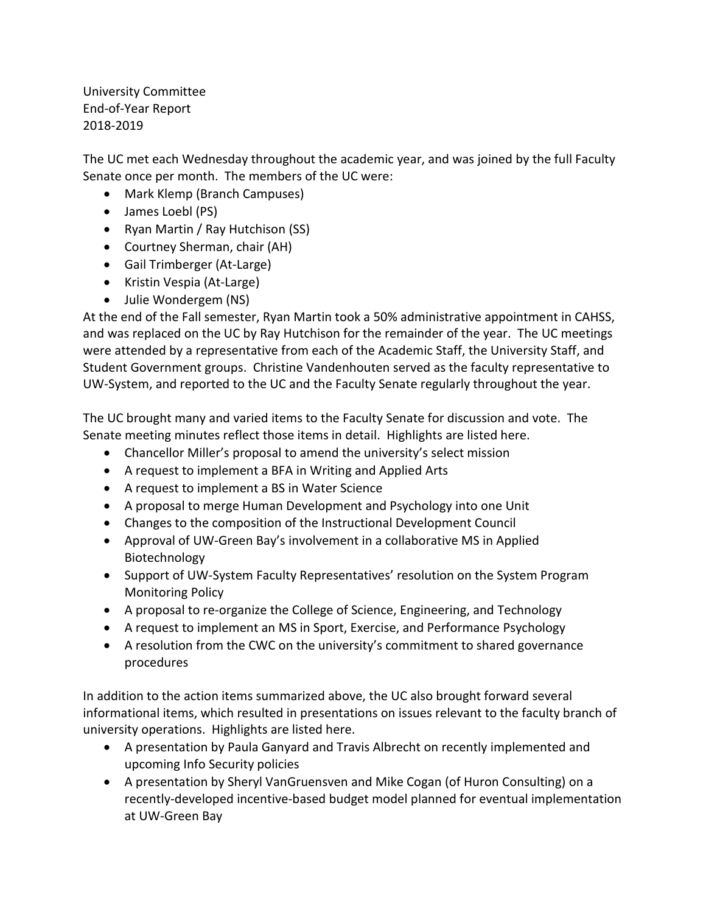University Committee End-of-Year Report 2018-2019

The UC met each Wednesday throughout the academic year, and was joined by the full Faculty Senate once per month. The members of the UC were:

- Mark Klemp (Branch Campuses)
- James Loebl (PS)
- Ryan Martin / Ray Hutchison (SS)
- Courtney Sherman, chair (AH)
- Gail Trimberger (At-Large)
- Kristin Vespia (At-Large)
- Julie Wondergem (NS)

At the end of the Fall semester, Ryan Martin took a 50% administrative appointment in CAHSS, and was replaced on the UC by Ray Hutchison for the remainder of the year. The UC meetings were attended by a representative from each of the Academic Staff, the University Staff, and Student Government groups. Christine Vandenhouten served as the faculty representative to UW-System, and reported to the UC and the Faculty Senate regularly throughout the year.

The UC brought many and varied items to the Faculty Senate for discussion and vote. The Senate meeting minutes reflect those items in detail. Highlights are listed here.

- Chancellor Miller's proposal to amend the university's select mission
- A request to implement a BFA in Writing and Applied Arts
- A request to implement a BS in Water Science
- A proposal to merge Human Development and Psychology into one Unit
- Changes to the composition of the Instructional Development Council
- Approval of UW-Green Bay's involvement in a collaborative MS in Applied Biotechnology
- Support of UW-System Faculty Representatives' resolution on the System Program Monitoring Policy
- A proposal to re-organize the College of Science, Engineering, and Technology
- A request to implement an MS in Sport, Exercise, and Performance Psychology
- A resolution from the CWC on the university's commitment to shared governance procedures

In addition to the action items summarized above, the UC also brought forward several informational items, which resulted in presentations on issues relevant to the faculty branch of university operations. Highlights are listed here.

- A presentation by Paula Ganyard and Travis Albrecht on recently implemented and upcoming Info Security policies
- A presentation by Sheryl VanGruensven and Mike Cogan (of Huron Consulting) on a recently-developed incentive-based budget model planned for eventual implementation at UW-Green Bay